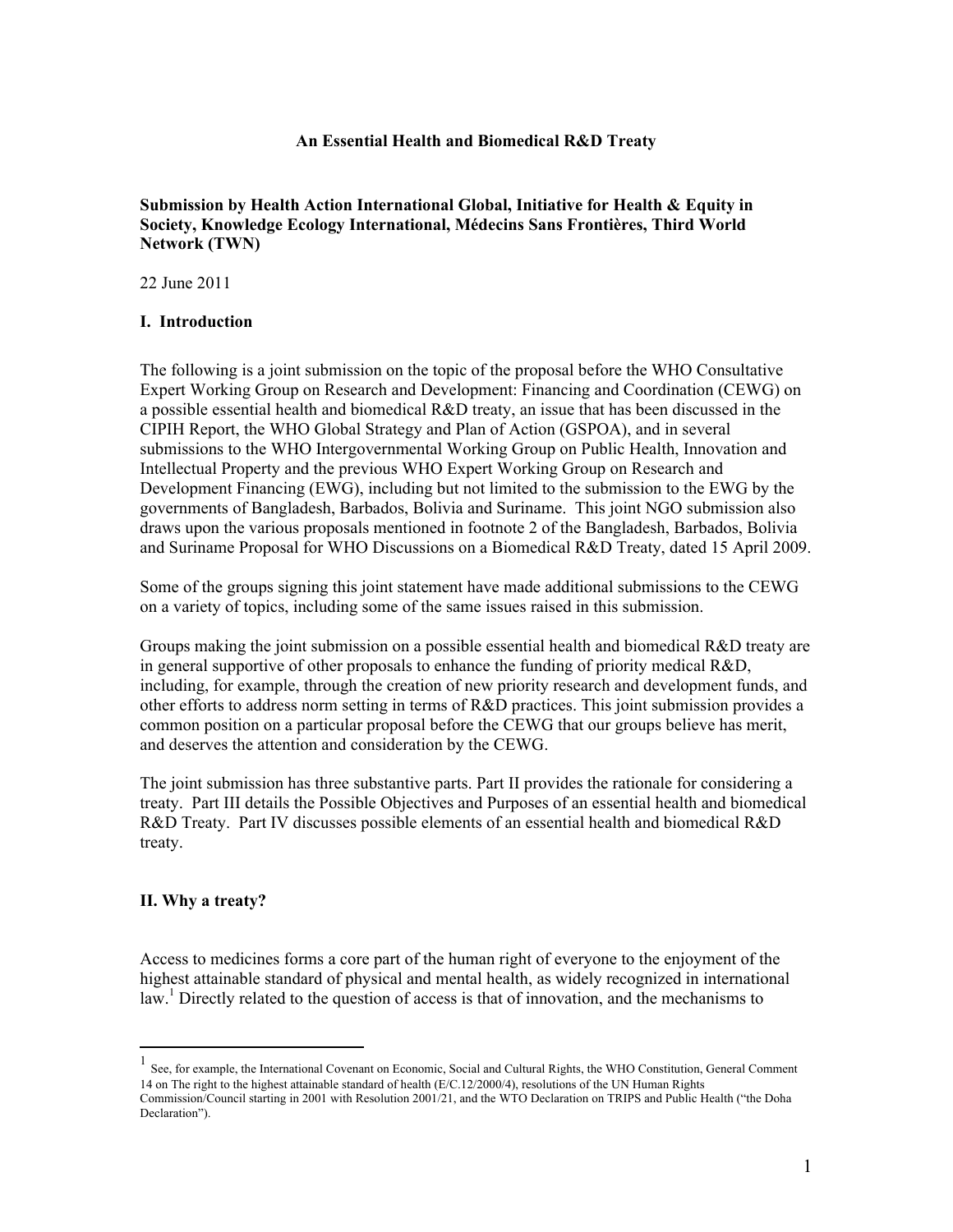#### **An Essential Health and Biomedical R&D Treaty**

**Submission by Health Action International Global, Initiative for Health & Equity in Society, Knowledge Ecology International, Médecins Sans Frontières, Third World Network (TWN)**

22 June 2011

#### **I. Introduction**

The following is a joint submission on the topic of the proposal before the WHO Consultative Expert Working Group on Research and Development: Financing and Coordination (CEWG) on a possible essential health and biomedical R&D treaty, an issue that has been discussed in the CIPIH Report, the WHO Global Strategy and Plan of Action (GSPOA), and in several submissions to the WHO Intergovernmental Working Group on Public Health, Innovation and Intellectual Property and the previous WHO Expert Working Group on Research and Development Financing (EWG), including but not limited to the submission to the EWG by the governments of Bangladesh, Barbados, Bolivia and Suriname. This joint NGO submission also draws upon the various proposals mentioned in footnote 2 of the Bangladesh, Barbados, Bolivia and Suriname Proposal for WHO Discussions on a Biomedical R&D Treaty, dated 15 April 2009.

Some of the groups signing this joint statement have made additional submissions to the CEWG on a variety of topics, including some of the same issues raised in this submission.

Groups making the joint submission on a possible essential health and biomedical R&D treaty are in general supportive of other proposals to enhance the funding of priority medical R&D, including, for example, through the creation of new priority research and development funds, and other efforts to address norm setting in terms of R&D practices. This joint submission provides a common position on a particular proposal before the CEWG that our groups believe has merit, and deserves the attention and consideration by the CEWG.

The joint submission has three substantive parts. Part II provides the rationale for considering a treaty. Part III details the Possible Objectives and Purposes of an essential health and biomedical R&D Treaty. Part IV discusses possible elements of an essential health and biomedical R&D treaty.

#### **II. Why a treaty?**

Access to medicines forms a core part of the human right of everyone to the enjoyment of the highest attainable standard of physical and mental health, as widely recognized in international law.<sup>1</sup> Directly related to the question of access is that of innovation, and the mechanisms to

 <sup>1</sup> See, for example, the International Covenant on Economic, Social and Cultural Rights, the WHO Constitution, General Comment 14 on The right to the highest attainable standard of health (E/C.12/2000/4), resolutions of the UN Human Rights Commission/Council starting in 2001 with Resolution 2001/21, and the WTO Declaration on TRIPS and Public Health ("the Doha Declaration").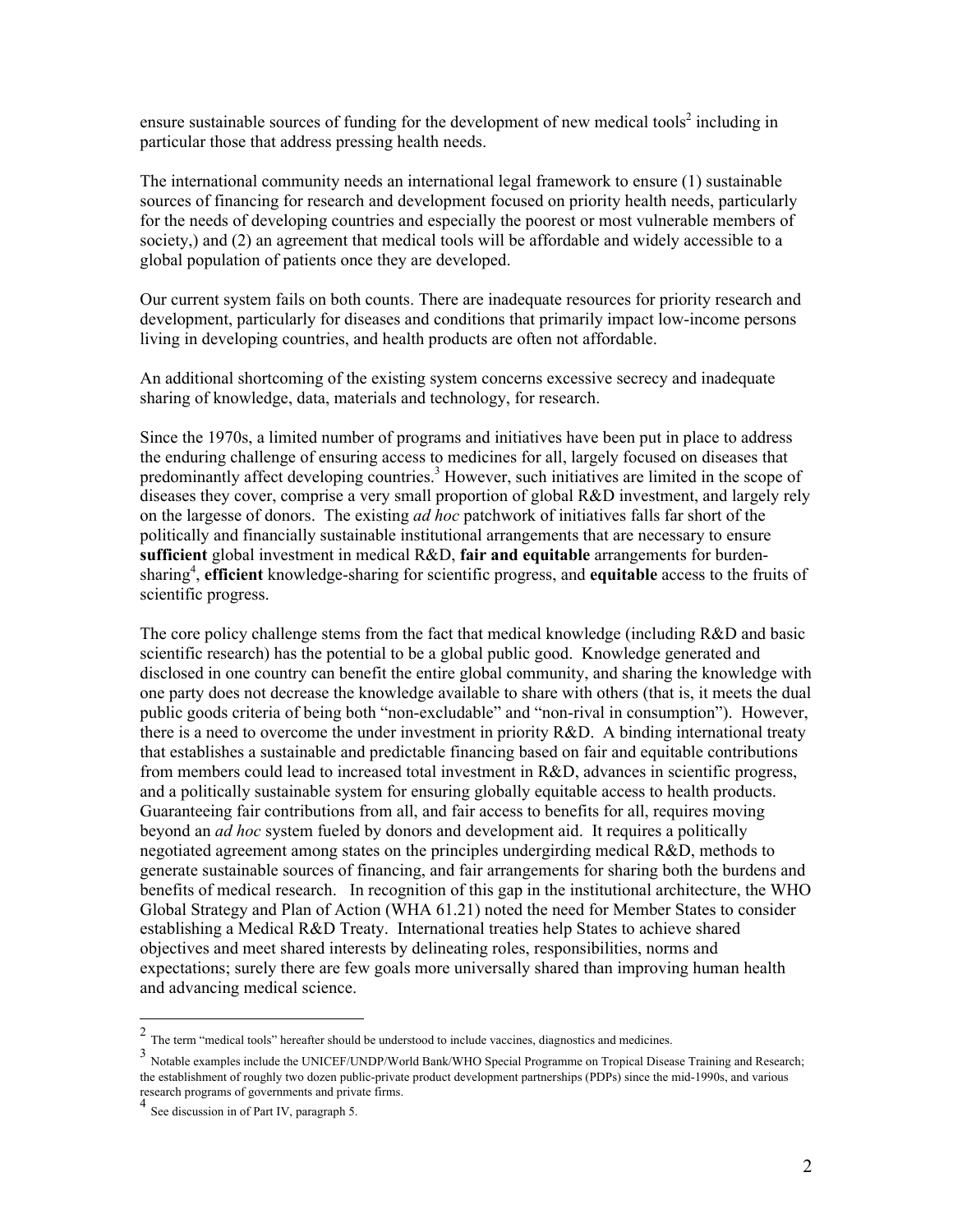ensure sustainable sources of funding for the development of new medical tools<sup>2</sup> including in particular those that address pressing health needs.

The international community needs an international legal framework to ensure (1) sustainable sources of financing for research and development focused on priority health needs, particularly for the needs of developing countries and especially the poorest or most vulnerable members of society,) and (2) an agreement that medical tools will be affordable and widely accessible to a global population of patients once they are developed.

Our current system fails on both counts. There are inadequate resources for priority research and development, particularly for diseases and conditions that primarily impact low-income persons living in developing countries, and health products are often not affordable.

An additional shortcoming of the existing system concerns excessive secrecy and inadequate sharing of knowledge, data, materials and technology, for research.

Since the 1970s, a limited number of programs and initiatives have been put in place to address the enduring challenge of ensuring access to medicines for all, largely focused on diseases that predominantly affect developing countries.<sup>3</sup> However, such initiatives are limited in the scope of diseases they cover, comprise a very small proportion of global R&D investment, and largely rely on the largesse of donors. The existing *ad hoc* patchwork of initiatives falls far short of the politically and financially sustainable institutional arrangements that are necessary to ensure **sufficient** global investment in medical R&D, **fair and equitable** arrangements for burdensharing<sup>4</sup>, efficient knowledge-sharing for scientific progress, and equitable access to the fruits of scientific progress.

The core policy challenge stems from the fact that medical knowledge (including R&D and basic scientific research) has the potential to be a global public good. Knowledge generated and disclosed in one country can benefit the entire global community, and sharing the knowledge with one party does not decrease the knowledge available to share with others (that is, it meets the dual public goods criteria of being both "non-excludable" and "non-rival in consumption"). However, there is a need to overcome the under investment in priority  $R&D$ . A binding international treaty that establishes a sustainable and predictable financing based on fair and equitable contributions from members could lead to increased total investment in R&D, advances in scientific progress, and a politically sustainable system for ensuring globally equitable access to health products. Guaranteeing fair contributions from all, and fair access to benefits for all, requires moving beyond an *ad hoc* system fueled by donors and development aid. It requires a politically negotiated agreement among states on the principles undergirding medical R&D, methods to generate sustainable sources of financing, and fair arrangements for sharing both the burdens and benefits of medical research. In recognition of this gap in the institutional architecture, the WHO Global Strategy and Plan of Action (WHA 61.21) noted the need for Member States to consider establishing a Medical R&D Treaty. International treaties help States to achieve shared objectives and meet shared interests by delineating roles, responsibilities, norms and expectations; surely there are few goals more universally shared than improving human health and advancing medical science.

<sup>&</sup>lt;sup>2</sup> The term "medical tools" hereafter should be understood to include vaccines, diagnostics and medicines.<br> $\frac{3}{2}$  Natable supports include the UNIGER (NINDN/seld Devel/N/UO Secolal Decenius on Terminal Disco

<sup>3</sup> Notable examples include the UNICEF/UNDP/World Bank/WHO Special Programme on Tropical Disease Training and Research; the establishment of roughly two dozen public-private product development partnerships (PDPs) since the mid-1990s, and various research programs of governments and private firms.

See discussion in of Part IV, paragraph 5.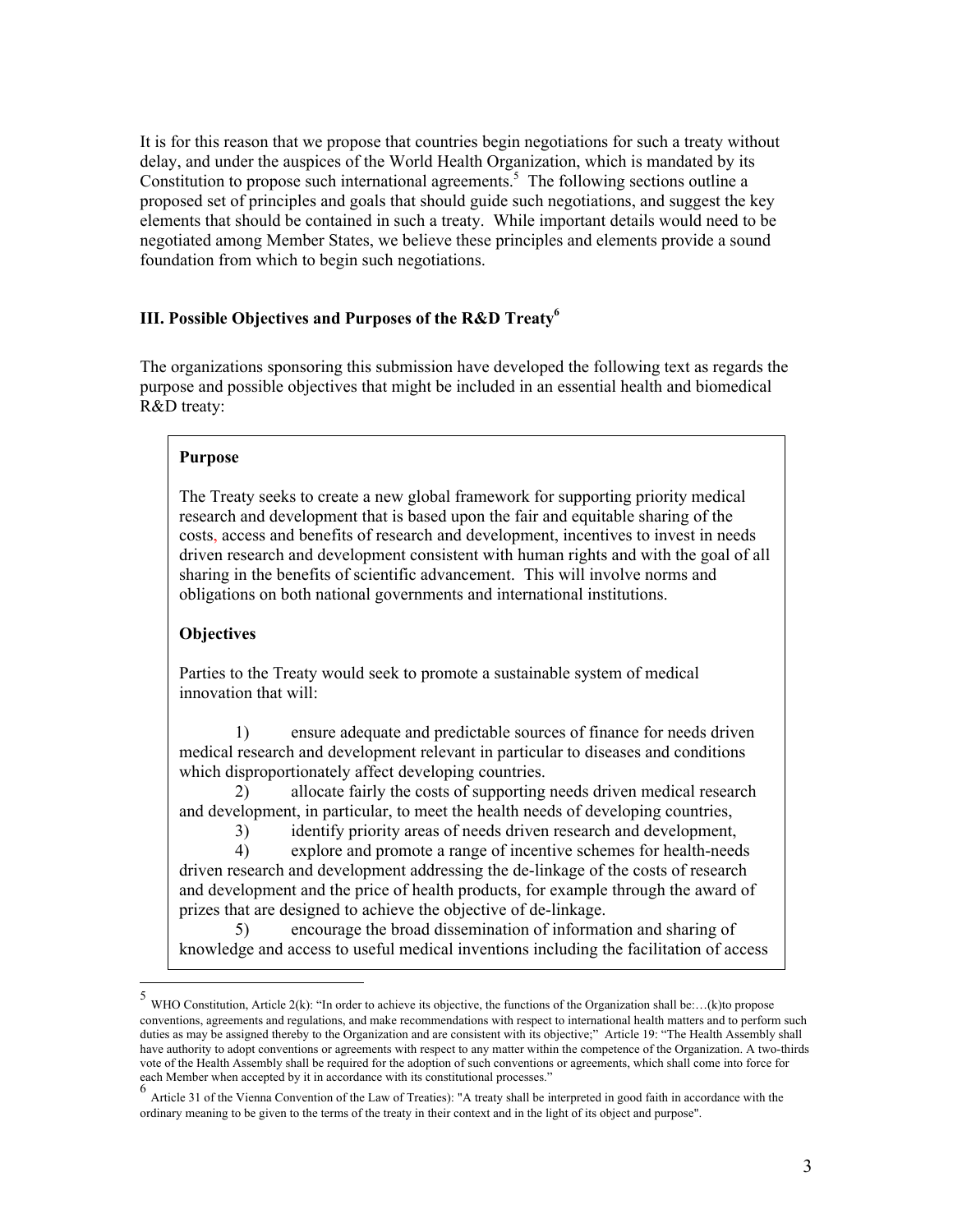It is for this reason that we propose that countries begin negotiations for such a treaty without delay, and under the auspices of the World Health Organization, which is mandated by its Constitution to propose such international agreements.<sup>5</sup> The following sections outline a proposed set of principles and goals that should guide such negotiations, and suggest the key elements that should be contained in such a treaty. While important details would need to be negotiated among Member States, we believe these principles and elements provide a sound foundation from which to begin such negotiations.

# **III. Possible Objectives and Purposes of the R&D Treaty6**

The organizations sponsoring this submission have developed the following text as regards the purpose and possible objectives that might be included in an essential health and biomedical R&D treaty:

## **Purpose**

The Treaty seeks to create a new global framework for supporting priority medical research and development that is based upon the fair and equitable sharing of the costs, access and benefits of research and development, incentives to invest in needs driven research and development consistent with human rights and with the goal of all sharing in the benefits of scientific advancement. This will involve norms and obligations on both national governments and international institutions.

## **Objectives**

Parties to the Treaty would seek to promote a sustainable system of medical innovation that will:

1) ensure adequate and predictable sources of finance for needs driven medical research and development relevant in particular to diseases and conditions which disproportionately affect developing countries.

2) allocate fairly the costs of supporting needs driven medical research and development, in particular, to meet the health needs of developing countries,

3) identify priority areas of needs driven research and development,

4) explore and promote a range of incentive schemes for health-needs driven research and development addressing the de-linkage of the costs of research and development and the price of health products, for example through the award of prizes that are designed to achieve the objective of de-linkage.

5) encourage the broad dissemination of information and sharing of knowledge and access to useful medical inventions including the facilitation of access

<sup>&</sup>lt;sup>5</sup> WHO Constitution, Article 2(k): "In order to achieve its objective, the functions of the Organization shall be:...(k)to propose conventions, agreements and regulations, and make recommendations with respect to international health matters and to perform such duties as may be assigned thereby to the Organization and are consistent with its objective;" Article 19: "The Health Assembly shall have authority to adopt conventions or agreements with respect to any matter within the competence of the Organization. A two-thirds vote of the Health Assembly shall be required for the adoption of such conventions or agreements, which shall come into force for

each Member when accepted by it in accordance with its constitutional processes."<br>6<br>Article 31 of the Vienna Convention of the Law of Treaties): "A treaty shall be interpreted in good faith in accordance with the ordinary meaning to be given to the terms of the treaty in their context and in the light of its object and purpose".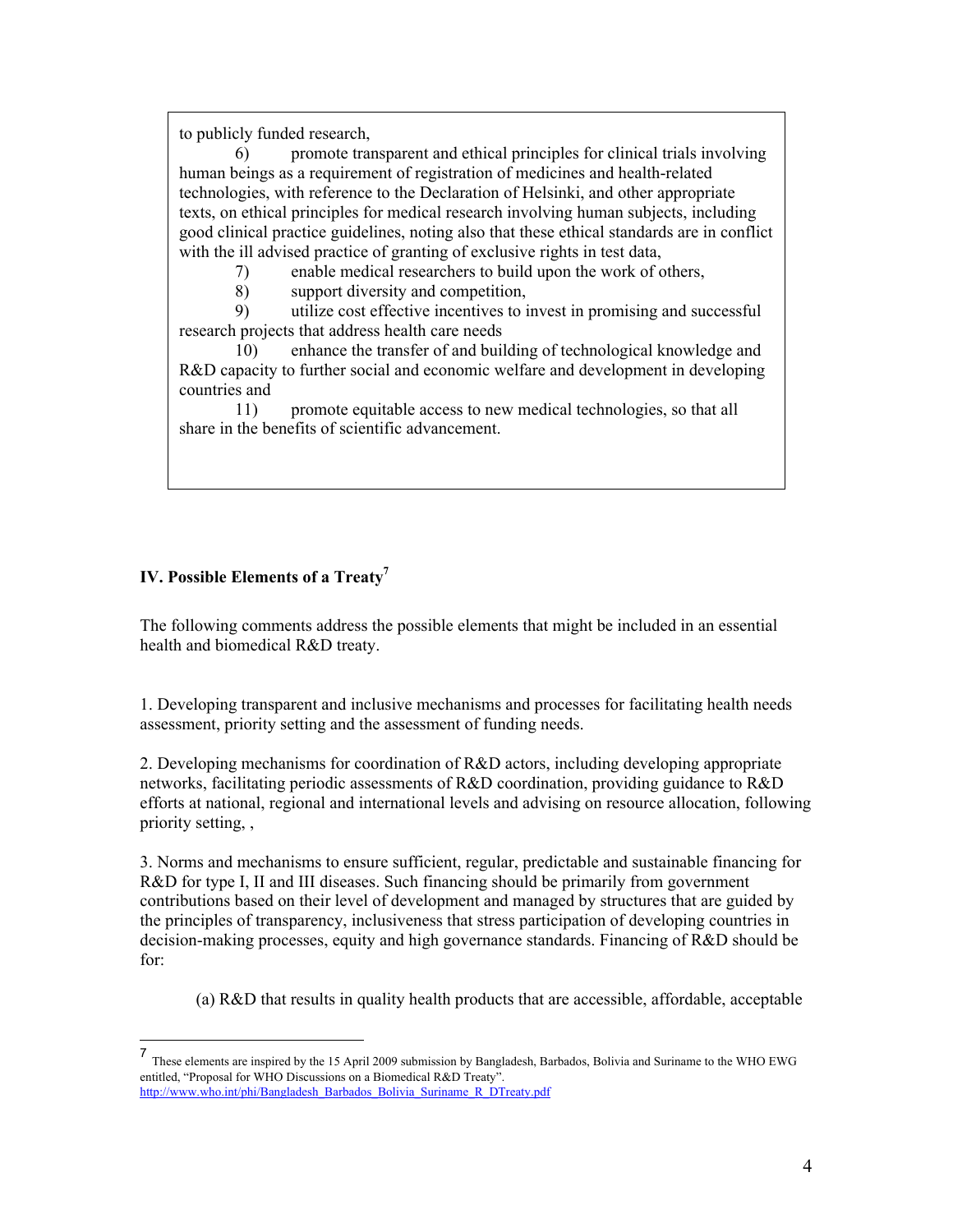to publicly funded research,

6) promote transparent and ethical principles for clinical trials involving human beings as a requirement of registration of medicines and health-related technologies, with reference to the Declaration of Helsinki, and other appropriate texts, on ethical principles for medical research involving human subjects, including good clinical practice guidelines, noting also that these ethical standards are in conflict with the ill advised practice of granting of exclusive rights in test data,

7) enable medical researchers to build upon the work of others,

8) support diversity and competition,

9) utilize cost effective incentives to invest in promising and successful research projects that address health care needs

10) enhance the transfer of and building of technological knowledge and R&D capacity to further social and economic welfare and development in developing countries and

11) promote equitable access to new medical technologies, so that all share in the benefits of scientific advancement.

# **IV. Possible Elements of a Treaty<sup>7</sup>**

The following comments address the possible elements that might be included in an essential health and biomedical R&D treaty.

1. Developing transparent and inclusive mechanisms and processes for facilitating health needs assessment, priority setting and the assessment of funding needs.

2. Developing mechanisms for coordination of R&D actors, including developing appropriate networks, facilitating periodic assessments of R&D coordination, providing guidance to R&D efforts at national, regional and international levels and advising on resource allocation, following priority setting, ,

3. Norms and mechanisms to ensure sufficient, regular, predictable and sustainable financing for R&D for type I, II and III diseases. Such financing should be primarily from government contributions based on their level of development and managed by structures that are guided by the principles of transparency, inclusiveness that stress participation of developing countries in decision-making processes, equity and high governance standards. Financing of R&D should be for:

(a) R&D that results in quality health products that are accessible, affordable, acceptable

<sup>7</sup> These elements are inspired by the 15 April 2009 submission by Bangladesh, Barbados, Bolivia and Suriname to the WHO EWG entitled, "Proposal for WHO Discussions on a Biomedical R&D Treaty". http://www.who.int/phi/Bangladesh\_Barbados\_Bolivia\_Suriname\_R\_DTreaty.pdf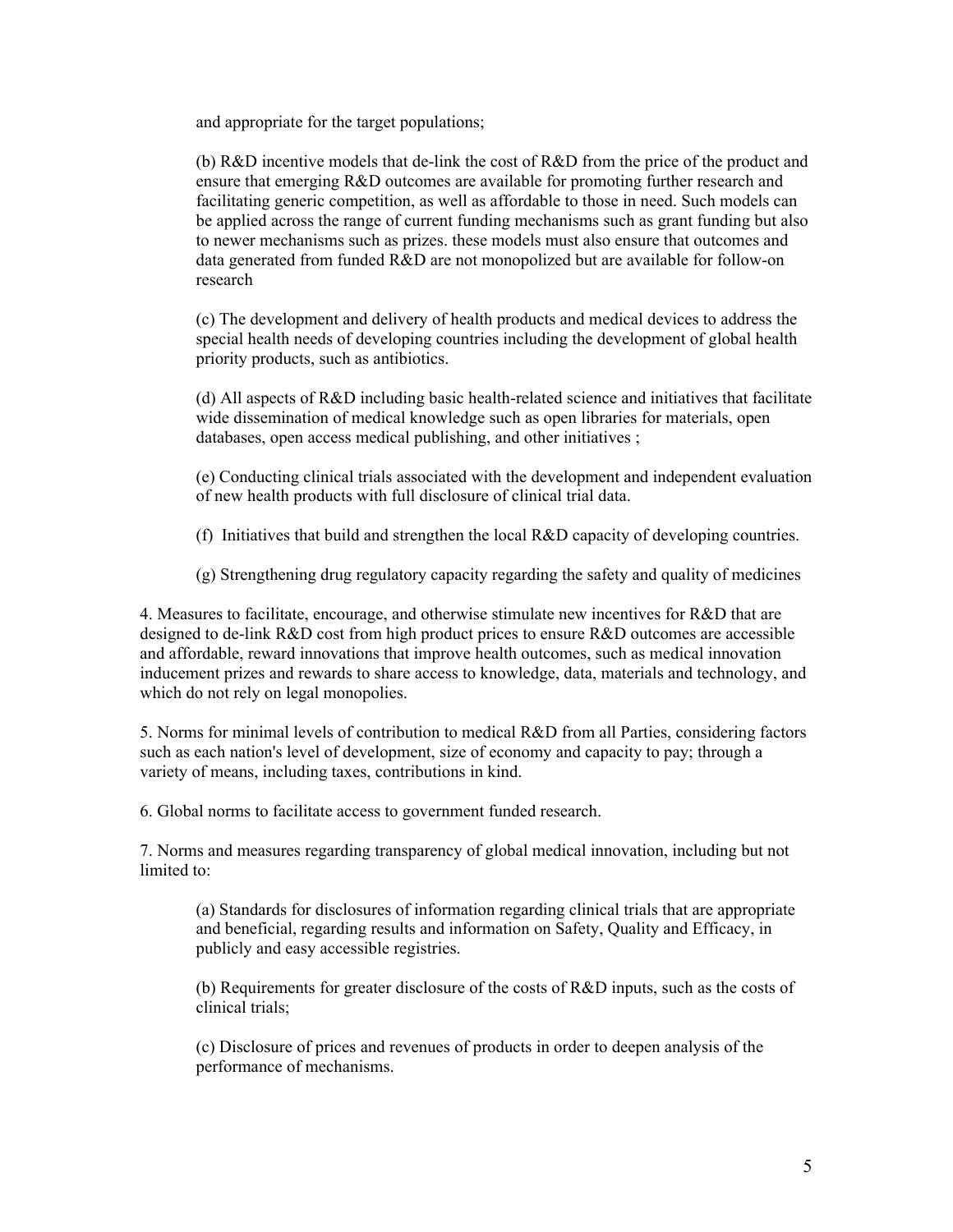and appropriate for the target populations;

(b) R&D incentive models that de-link the cost of R&D from the price of the product and ensure that emerging R&D outcomes are available for promoting further research and facilitating generic competition, as well as affordable to those in need. Such models can be applied across the range of current funding mechanisms such as grant funding but also to newer mechanisms such as prizes. these models must also ensure that outcomes and data generated from funded R&D are not monopolized but are available for follow-on research

(c) The development and delivery of health products and medical devices to address the special health needs of developing countries including the development of global health priority products, such as antibiotics.

(d) All aspects of R&D including basic health-related science and initiatives that facilitate wide dissemination of medical knowledge such as open libraries for materials, open databases, open access medical publishing, and other initiatives ;

(e) Conducting clinical trials associated with the development and independent evaluation of new health products with full disclosure of clinical trial data.

(f) Initiatives that build and strengthen the local R&D capacity of developing countries.

(g) Strengthening drug regulatory capacity regarding the safety and quality of medicines

4. Measures to facilitate, encourage, and otherwise stimulate new incentives for R&D that are designed to de-link R&D cost from high product prices to ensure R&D outcomes are accessible and affordable, reward innovations that improve health outcomes, such as medical innovation inducement prizes and rewards to share access to knowledge, data, materials and technology, and which do not rely on legal monopolies.

5. Norms for minimal levels of contribution to medical R&D from all Parties, considering factors such as each nation's level of development, size of economy and capacity to pay; through a variety of means, including taxes, contributions in kind.

6. Global norms to facilitate access to government funded research.

7. Norms and measures regarding transparency of global medical innovation, including but not limited to:

(a) Standards for disclosures of information regarding clinical trials that are appropriate and beneficial, regarding results and information on Safety, Quality and Efficacy, in publicly and easy accessible registries.

(b) Requirements for greater disclosure of the costs of R&D inputs, such as the costs of clinical trials;

(c) Disclosure of prices and revenues of products in order to deepen analysis of the performance of mechanisms.